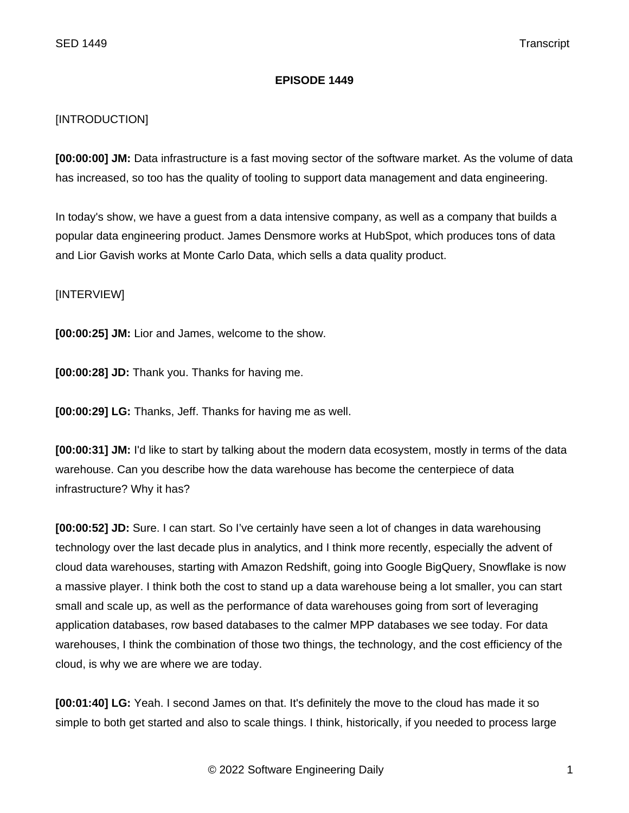## **EPISODE 1449**

## [INTRODUCTION]

**[00:00:00] JM:** Data infrastructure is a fast moving sector of the software market. As the volume of data has increased, so too has the quality of tooling to support data management and data engineering.

In today's show, we have a guest from a data intensive company, as well as a company that builds a popular data engineering product. James Densmore works at HubSpot, which produces tons of data and Lior Gavish works at Monte Carlo Data, which sells a data quality product.

## [INTERVIEW]

**[00:00:25] JM:** Lior and James, welcome to the show.

**[00:00:28] JD:** Thank you. Thanks for having me.

**[00:00:29] LG:** Thanks, Jeff. Thanks for having me as well.

**[00:00:31] JM:** I'd like to start by talking about the modern data ecosystem, mostly in terms of the data warehouse. Can you describe how the data warehouse has become the centerpiece of data infrastructure? Why it has?

**[00:00:52] JD:** Sure. I can start. So I've certainly have seen a lot of changes in data warehousing technology over the last decade plus in analytics, and I think more recently, especially the advent of cloud data warehouses, starting with Amazon Redshift, going into Google BigQuery, Snowflake is now a massive player. I think both the cost to stand up a data warehouse being a lot smaller, you can start small and scale up, as well as the performance of data warehouses going from sort of leveraging application databases, row based databases to the calmer MPP databases we see today. For data warehouses, I think the combination of those two things, the technology, and the cost efficiency of the cloud, is why we are where we are today.

**[00:01:40] LG:** Yeah. I second James on that. It's definitely the move to the cloud has made it so simple to both get started and also to scale things. I think, historically, if you needed to process large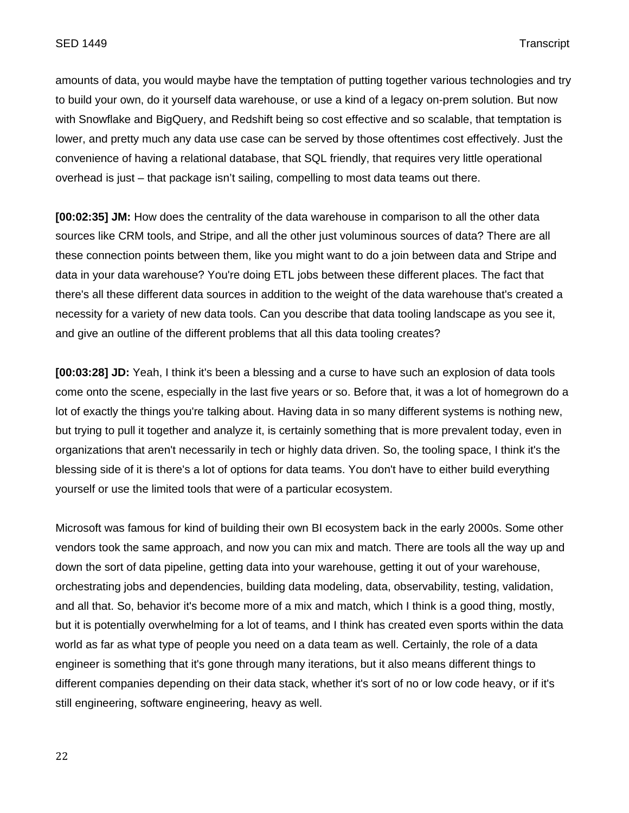amounts of data, you would maybe have the temptation of putting together various technologies and try to build your own, do it yourself data warehouse, or use a kind of a legacy on-prem solution. But now with Snowflake and BigQuery, and Redshift being so cost effective and so scalable, that temptation is lower, and pretty much any data use case can be served by those oftentimes cost effectively. Just the convenience of having a relational database, that SQL friendly, that requires very little operational overhead is just – that package isn't sailing, compelling to most data teams out there.

**[00:02:35] JM:** How does the centrality of the data warehouse in comparison to all the other data sources like CRM tools, and Stripe, and all the other just voluminous sources of data? There are all these connection points between them, like you might want to do a join between data and Stripe and data in your data warehouse? You're doing ETL jobs between these different places. The fact that there's all these different data sources in addition to the weight of the data warehouse that's created a necessity for a variety of new data tools. Can you describe that data tooling landscape as you see it, and give an outline of the different problems that all this data tooling creates?

**[00:03:28] JD:** Yeah, I think it's been a blessing and a curse to have such an explosion of data tools come onto the scene, especially in the last five years or so. Before that, it was a lot of homegrown do a lot of exactly the things you're talking about. Having data in so many different systems is nothing new, but trying to pull it together and analyze it, is certainly something that is more prevalent today, even in organizations that aren't necessarily in tech or highly data driven. So, the tooling space, I think it's the blessing side of it is there's a lot of options for data teams. You don't have to either build everything yourself or use the limited tools that were of a particular ecosystem.

Microsoft was famous for kind of building their own BI ecosystem back in the early 2000s. Some other vendors took the same approach, and now you can mix and match. There are tools all the way up and down the sort of data pipeline, getting data into your warehouse, getting it out of your warehouse, orchestrating jobs and dependencies, building data modeling, data, observability, testing, validation, and all that. So, behavior it's become more of a mix and match, which I think is a good thing, mostly, but it is potentially overwhelming for a lot of teams, and I think has created even sports within the data world as far as what type of people you need on a data team as well. Certainly, the role of a data engineer is something that it's gone through many iterations, but it also means different things to different companies depending on their data stack, whether it's sort of no or low code heavy, or if it's still engineering, software engineering, heavy as well.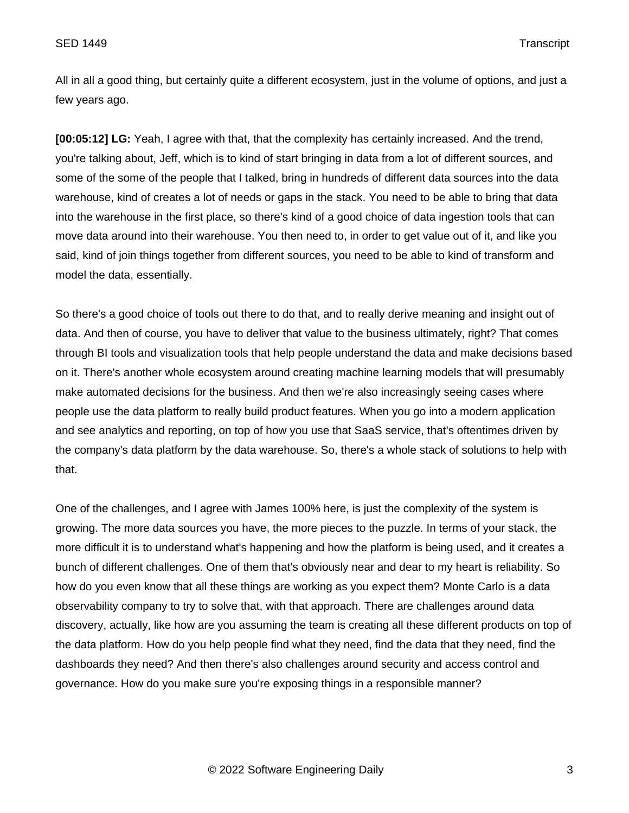All in all a good thing, but certainly quite a different ecosystem, just in the volume of options, and just a few years ago.

**[00:05:12] LG:** Yeah, I agree with that, that the complexity has certainly increased. And the trend, you're talking about, Jeff, which is to kind of start bringing in data from a lot of different sources, and some of the some of the people that I talked, bring in hundreds of different data sources into the data warehouse, kind of creates a lot of needs or gaps in the stack. You need to be able to bring that data into the warehouse in the first place, so there's kind of a good choice of data ingestion tools that can move data around into their warehouse. You then need to, in order to get value out of it, and like you said, kind of join things together from different sources, you need to be able to kind of transform and model the data, essentially.

So there's a good choice of tools out there to do that, and to really derive meaning and insight out of data. And then of course, you have to deliver that value to the business ultimately, right? That comes through BI tools and visualization tools that help people understand the data and make decisions based on it. There's another whole ecosystem around creating machine learning models that will presumably make automated decisions for the business. And then we're also increasingly seeing cases where people use the data platform to really build product features. When you go into a modern application and see analytics and reporting, on top of how you use that SaaS service, that's oftentimes driven by the company's data platform by the data warehouse. So, there's a whole stack of solutions to help with that.

One of the challenges, and I agree with James 100% here, is just the complexity of the system is growing. The more data sources you have, the more pieces to the puzzle. In terms of your stack, the more difficult it is to understand what's happening and how the platform is being used, and it creates a bunch of different challenges. One of them that's obviously near and dear to my heart is reliability. So how do you even know that all these things are working as you expect them? Monte Carlo is a data observability company to try to solve that, with that approach. There are challenges around data discovery, actually, like how are you assuming the team is creating all these different products on top of the data platform. How do you help people find what they need, find the data that they need, find the dashboards they need? And then there's also challenges around security and access control and governance. How do you make sure you're exposing things in a responsible manner?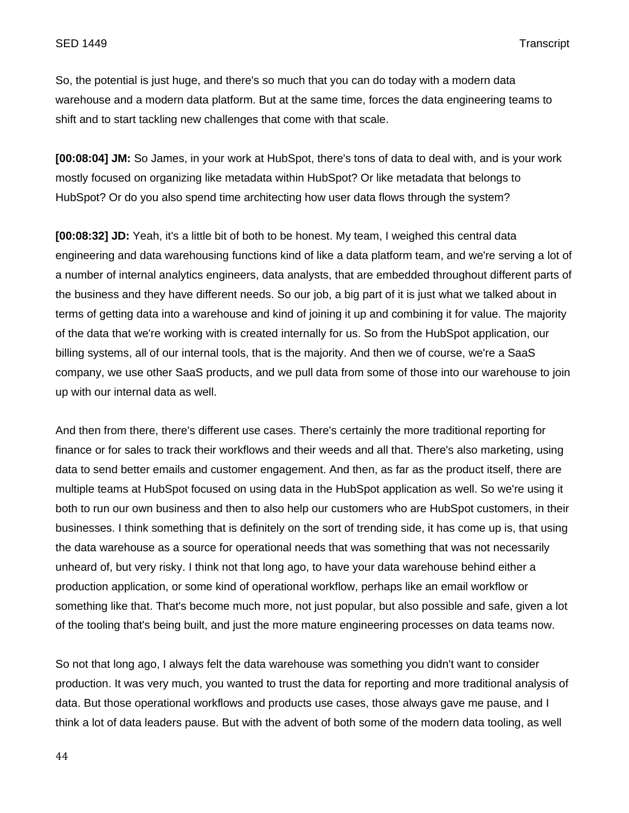So, the potential is just huge, and there's so much that you can do today with a modern data warehouse and a modern data platform. But at the same time, forces the data engineering teams to shift and to start tackling new challenges that come with that scale.

**[00:08:04] JM:** So James, in your work at HubSpot, there's tons of data to deal with, and is your work mostly focused on organizing like metadata within HubSpot? Or like metadata that belongs to HubSpot? Or do you also spend time architecting how user data flows through the system?

**[00:08:32] JD:** Yeah, it's a little bit of both to be honest. My team, I weighed this central data engineering and data warehousing functions kind of like a data platform team, and we're serving a lot of a number of internal analytics engineers, data analysts, that are embedded throughout different parts of the business and they have different needs. So our job, a big part of it is just what we talked about in terms of getting data into a warehouse and kind of joining it up and combining it for value. The majority of the data that we're working with is created internally for us. So from the HubSpot application, our billing systems, all of our internal tools, that is the majority. And then we of course, we're a SaaS company, we use other SaaS products, and we pull data from some of those into our warehouse to join up with our internal data as well.

And then from there, there's different use cases. There's certainly the more traditional reporting for finance or for sales to track their workflows and their weeds and all that. There's also marketing, using data to send better emails and customer engagement. And then, as far as the product itself, there are multiple teams at HubSpot focused on using data in the HubSpot application as well. So we're using it both to run our own business and then to also help our customers who are HubSpot customers, in their businesses. I think something that is definitely on the sort of trending side, it has come up is, that using the data warehouse as a source for operational needs that was something that was not necessarily unheard of, but very risky. I think not that long ago, to have your data warehouse behind either a production application, or some kind of operational workflow, perhaps like an email workflow or something like that. That's become much more, not just popular, but also possible and safe, given a lot of the tooling that's being built, and just the more mature engineering processes on data teams now.

So not that long ago, I always felt the data warehouse was something you didn't want to consider production. It was very much, you wanted to trust the data for reporting and more traditional analysis of data. But those operational workflows and products use cases, those always gave me pause, and I think a lot of data leaders pause. But with the advent of both some of the modern data tooling, as well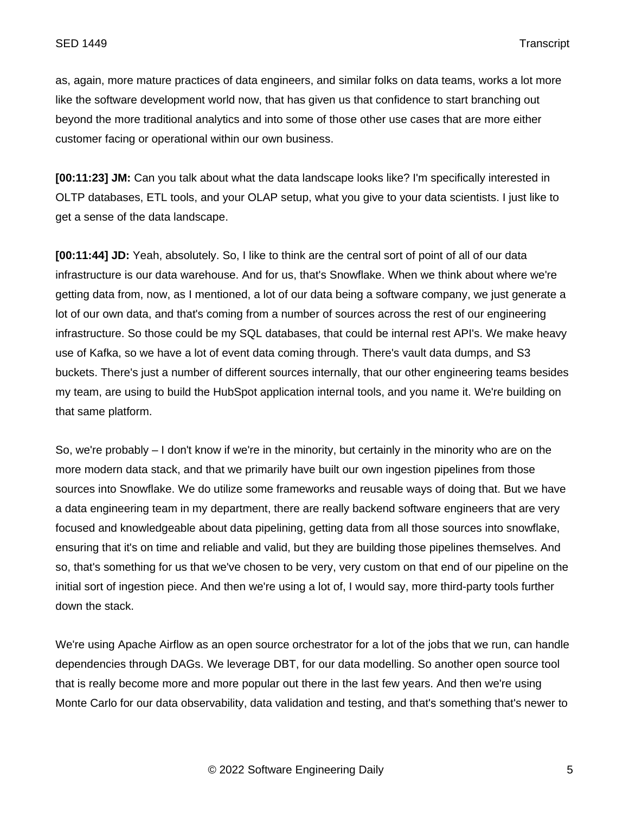as, again, more mature practices of data engineers, and similar folks on data teams, works a lot more like the software development world now, that has given us that confidence to start branching out beyond the more traditional analytics and into some of those other use cases that are more either customer facing or operational within our own business.

**[00:11:23] JM:** Can you talk about what the data landscape looks like? I'm specifically interested in OLTP databases, ETL tools, and your OLAP setup, what you give to your data scientists. I just like to get a sense of the data landscape.

**[00:11:44] JD:** Yeah, absolutely. So, I like to think are the central sort of point of all of our data infrastructure is our data warehouse. And for us, that's Snowflake. When we think about where we're getting data from, now, as I mentioned, a lot of our data being a software company, we just generate a lot of our own data, and that's coming from a number of sources across the rest of our engineering infrastructure. So those could be my SQL databases, that could be internal rest API's. We make heavy use of Kafka, so we have a lot of event data coming through. There's vault data dumps, and S3 buckets. There's just a number of different sources internally, that our other engineering teams besides my team, are using to build the HubSpot application internal tools, and you name it. We're building on that same platform.

So, we're probably – I don't know if we're in the minority, but certainly in the minority who are on the more modern data stack, and that we primarily have built our own ingestion pipelines from those sources into Snowflake. We do utilize some frameworks and reusable ways of doing that. But we have a data engineering team in my department, there are really backend software engineers that are very focused and knowledgeable about data pipelining, getting data from all those sources into snowflake, ensuring that it's on time and reliable and valid, but they are building those pipelines themselves. And so, that's something for us that we've chosen to be very, very custom on that end of our pipeline on the initial sort of ingestion piece. And then we're using a lot of, I would say, more third-party tools further down the stack.

We're using Apache Airflow as an open source orchestrator for a lot of the jobs that we run, can handle dependencies through DAGs. We leverage DBT, for our data modelling. So another open source tool that is really become more and more popular out there in the last few years. And then we're using Monte Carlo for our data observability, data validation and testing, and that's something that's newer to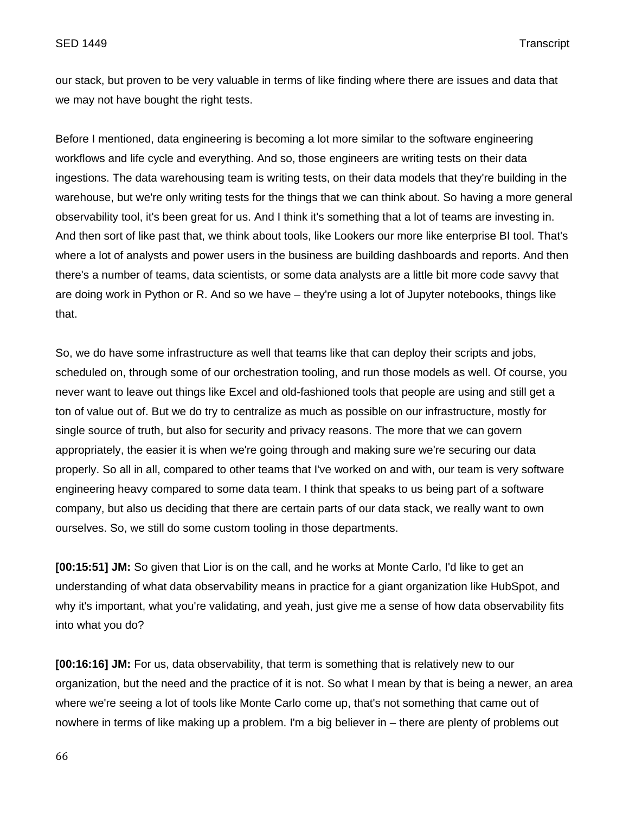our stack, but proven to be very valuable in terms of like finding where there are issues and data that we may not have bought the right tests.

Before I mentioned, data engineering is becoming a lot more similar to the software engineering workflows and life cycle and everything. And so, those engineers are writing tests on their data ingestions. The data warehousing team is writing tests, on their data models that they're building in the warehouse, but we're only writing tests for the things that we can think about. So having a more general observability tool, it's been great for us. And I think it's something that a lot of teams are investing in. And then sort of like past that, we think about tools, like Lookers our more like enterprise BI tool. That's where a lot of analysts and power users in the business are building dashboards and reports. And then there's a number of teams, data scientists, or some data analysts are a little bit more code savvy that are doing work in Python or R. And so we have – they're using a lot of Jupyter notebooks, things like that.

So, we do have some infrastructure as well that teams like that can deploy their scripts and jobs, scheduled on, through some of our orchestration tooling, and run those models as well. Of course, you never want to leave out things like Excel and old-fashioned tools that people are using and still get a ton of value out of. But we do try to centralize as much as possible on our infrastructure, mostly for single source of truth, but also for security and privacy reasons. The more that we can govern appropriately, the easier it is when we're going through and making sure we're securing our data properly. So all in all, compared to other teams that I've worked on and with, our team is very software engineering heavy compared to some data team. I think that speaks to us being part of a software company, but also us deciding that there are certain parts of our data stack, we really want to own ourselves. So, we still do some custom tooling in those departments.

**[00:15:51] JM:** So given that Lior is on the call, and he works at Monte Carlo, I'd like to get an understanding of what data observability means in practice for a giant organization like HubSpot, and why it's important, what you're validating, and yeah, just give me a sense of how data observability fits into what you do?

**[00:16:16] JM:** For us, data observability, that term is something that is relatively new to our organization, but the need and the practice of it is not. So what I mean by that is being a newer, an area where we're seeing a lot of tools like Monte Carlo come up, that's not something that came out of nowhere in terms of like making up a problem. I'm a big believer in – there are plenty of problems out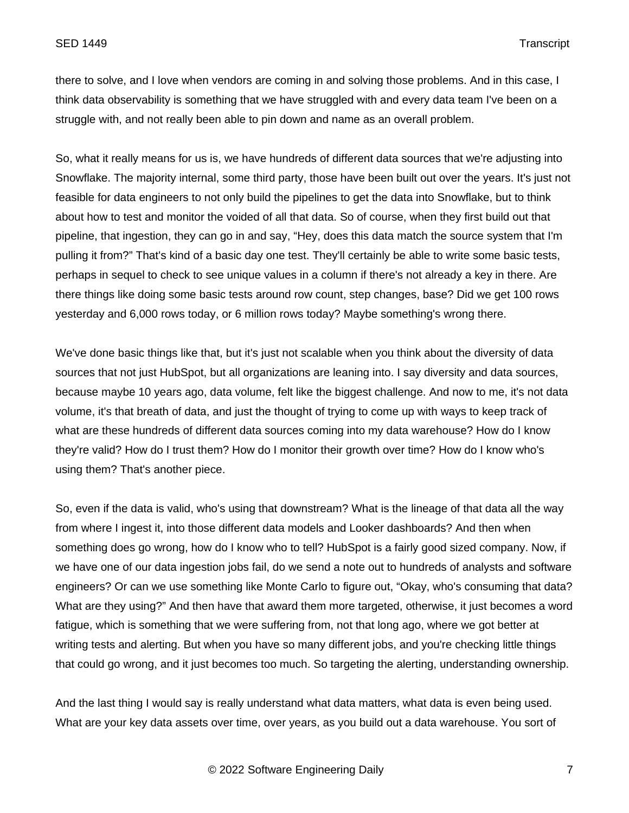there to solve, and I love when vendors are coming in and solving those problems. And in this case, I think data observability is something that we have struggled with and every data team I've been on a struggle with, and not really been able to pin down and name as an overall problem.

So, what it really means for us is, we have hundreds of different data sources that we're adjusting into Snowflake. The majority internal, some third party, those have been built out over the years. It's just not feasible for data engineers to not only build the pipelines to get the data into Snowflake, but to think about how to test and monitor the voided of all that data. So of course, when they first build out that pipeline, that ingestion, they can go in and say, "Hey, does this data match the source system that I'm pulling it from?" That's kind of a basic day one test. They'll certainly be able to write some basic tests, perhaps in sequel to check to see unique values in a column if there's not already a key in there. Are there things like doing some basic tests around row count, step changes, base? Did we get 100 rows yesterday and 6,000 rows today, or 6 million rows today? Maybe something's wrong there.

We've done basic things like that, but it's just not scalable when you think about the diversity of data sources that not just HubSpot, but all organizations are leaning into. I say diversity and data sources, because maybe 10 years ago, data volume, felt like the biggest challenge. And now to me, it's not data volume, it's that breath of data, and just the thought of trying to come up with ways to keep track of what are these hundreds of different data sources coming into my data warehouse? How do I know they're valid? How do I trust them? How do I monitor their growth over time? How do I know who's using them? That's another piece.

So, even if the data is valid, who's using that downstream? What is the lineage of that data all the way from where I ingest it, into those different data models and Looker dashboards? And then when something does go wrong, how do I know who to tell? HubSpot is a fairly good sized company. Now, if we have one of our data ingestion jobs fail, do we send a note out to hundreds of analysts and software engineers? Or can we use something like Monte Carlo to figure out, "Okay, who's consuming that data? What are they using?" And then have that award them more targeted, otherwise, it just becomes a word fatigue, which is something that we were suffering from, not that long ago, where we got better at writing tests and alerting. But when you have so many different jobs, and you're checking little things that could go wrong, and it just becomes too much. So targeting the alerting, understanding ownership.

And the last thing I would say is really understand what data matters, what data is even being used. What are your key data assets over time, over years, as you build out a data warehouse. You sort of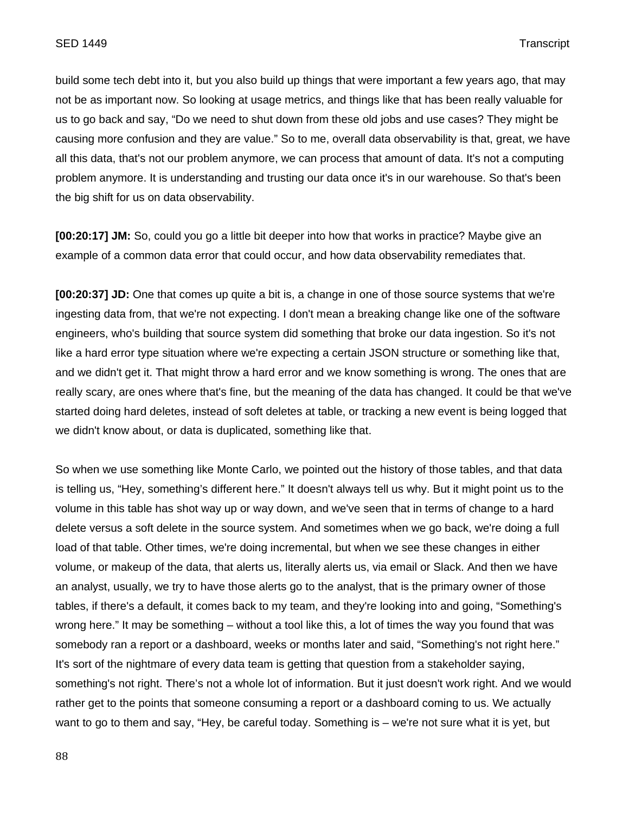build some tech debt into it, but you also build up things that were important a few years ago, that may not be as important now. So looking at usage metrics, and things like that has been really valuable for us to go back and say, "Do we need to shut down from these old jobs and use cases? They might be causing more confusion and they are value." So to me, overall data observability is that, great, we have all this data, that's not our problem anymore, we can process that amount of data. It's not a computing problem anymore. It is understanding and trusting our data once it's in our warehouse. So that's been the big shift for us on data observability.

**[00:20:17] JM:** So, could you go a little bit deeper into how that works in practice? Maybe give an example of a common data error that could occur, and how data observability remediates that.

**[00:20:37] JD:** One that comes up quite a bit is, a change in one of those source systems that we're ingesting data from, that we're not expecting. I don't mean a breaking change like one of the software engineers, who's building that source system did something that broke our data ingestion. So it's not like a hard error type situation where we're expecting a certain JSON structure or something like that, and we didn't get it. That might throw a hard error and we know something is wrong. The ones that are really scary, are ones where that's fine, but the meaning of the data has changed. It could be that we've started doing hard deletes, instead of soft deletes at table, or tracking a new event is being logged that we didn't know about, or data is duplicated, something like that.

So when we use something like Monte Carlo, we pointed out the history of those tables, and that data is telling us, "Hey, something's different here." It doesn't always tell us why. But it might point us to the volume in this table has shot way up or way down, and we've seen that in terms of change to a hard delete versus a soft delete in the source system. And sometimes when we go back, we're doing a full load of that table. Other times, we're doing incremental, but when we see these changes in either volume, or makeup of the data, that alerts us, literally alerts us, via email or Slack. And then we have an analyst, usually, we try to have those alerts go to the analyst, that is the primary owner of those tables, if there's a default, it comes back to my team, and they're looking into and going, "Something's wrong here." It may be something – without a tool like this, a lot of times the way you found that was somebody ran a report or a dashboard, weeks or months later and said, "Something's not right here." It's sort of the nightmare of every data team is getting that question from a stakeholder saying, something's not right. There's not a whole lot of information. But it just doesn't work right. And we would rather get to the points that someone consuming a report or a dashboard coming to us. We actually want to go to them and say, "Hey, be careful today. Something is – we're not sure what it is yet, but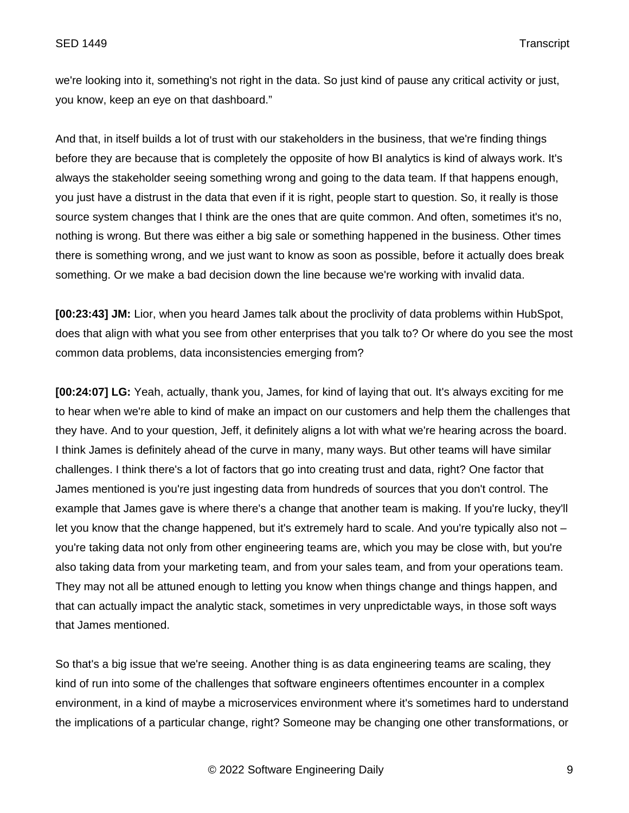we're looking into it, something's not right in the data. So just kind of pause any critical activity or just, you know, keep an eye on that dashboard."

And that, in itself builds a lot of trust with our stakeholders in the business, that we're finding things before they are because that is completely the opposite of how BI analytics is kind of always work. It's always the stakeholder seeing something wrong and going to the data team. If that happens enough, you just have a distrust in the data that even if it is right, people start to question. So, it really is those source system changes that I think are the ones that are quite common. And often, sometimes it's no, nothing is wrong. But there was either a big sale or something happened in the business. Other times there is something wrong, and we just want to know as soon as possible, before it actually does break something. Or we make a bad decision down the line because we're working with invalid data.

**[00:23:43] JM:** Lior, when you heard James talk about the proclivity of data problems within HubSpot, does that align with what you see from other enterprises that you talk to? Or where do you see the most common data problems, data inconsistencies emerging from?

**[00:24:07] LG:** Yeah, actually, thank you, James, for kind of laying that out. It's always exciting for me to hear when we're able to kind of make an impact on our customers and help them the challenges that they have. And to your question, Jeff, it definitely aligns a lot with what we're hearing across the board. I think James is definitely ahead of the curve in many, many ways. But other teams will have similar challenges. I think there's a lot of factors that go into creating trust and data, right? One factor that James mentioned is you're just ingesting data from hundreds of sources that you don't control. The example that James gave is where there's a change that another team is making. If you're lucky, they'll let you know that the change happened, but it's extremely hard to scale. And you're typically also not – you're taking data not only from other engineering teams are, which you may be close with, but you're also taking data from your marketing team, and from your sales team, and from your operations team. They may not all be attuned enough to letting you know when things change and things happen, and that can actually impact the analytic stack, sometimes in very unpredictable ways, in those soft ways that James mentioned.

So that's a big issue that we're seeing. Another thing is as data engineering teams are scaling, they kind of run into some of the challenges that software engineers oftentimes encounter in a complex environment, in a kind of maybe a microservices environment where it's sometimes hard to understand the implications of a particular change, right? Someone may be changing one other transformations, or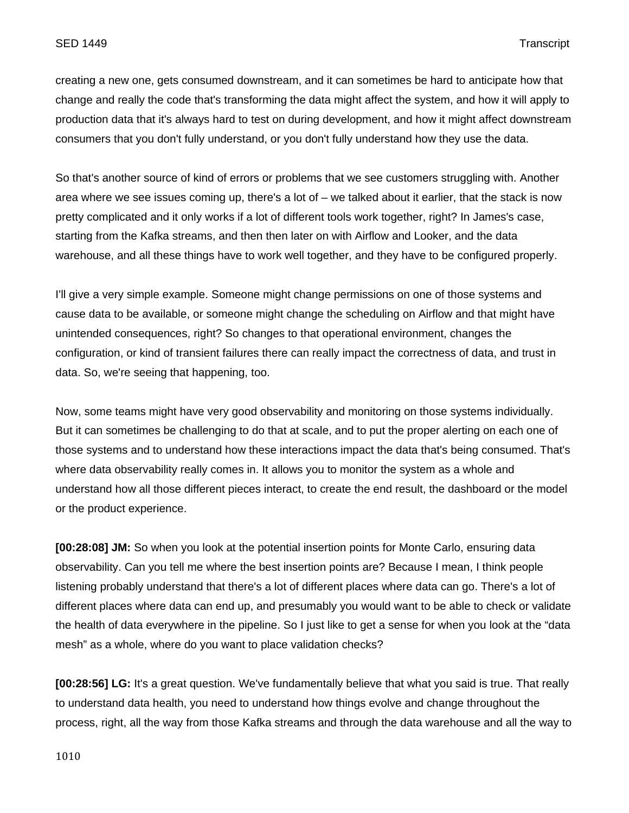creating a new one, gets consumed downstream, and it can sometimes be hard to anticipate how that change and really the code that's transforming the data might affect the system, and how it will apply to production data that it's always hard to test on during development, and how it might affect downstream consumers that you don't fully understand, or you don't fully understand how they use the data.

So that's another source of kind of errors or problems that we see customers struggling with. Another area where we see issues coming up, there's a lot of – we talked about it earlier, that the stack is now pretty complicated and it only works if a lot of different tools work together, right? In James's case, starting from the Kafka streams, and then then later on with Airflow and Looker, and the data warehouse, and all these things have to work well together, and they have to be configured properly.

I'll give a very simple example. Someone might change permissions on one of those systems and cause data to be available, or someone might change the scheduling on Airflow and that might have unintended consequences, right? So changes to that operational environment, changes the configuration, or kind of transient failures there can really impact the correctness of data, and trust in data. So, we're seeing that happening, too.

Now, some teams might have very good observability and monitoring on those systems individually. But it can sometimes be challenging to do that at scale, and to put the proper alerting on each one of those systems and to understand how these interactions impact the data that's being consumed. That's where data observability really comes in. It allows you to monitor the system as a whole and understand how all those different pieces interact, to create the end result, the dashboard or the model or the product experience.

**[00:28:08] JM:** So when you look at the potential insertion points for Monte Carlo, ensuring data observability. Can you tell me where the best insertion points are? Because I mean, I think people listening probably understand that there's a lot of different places where data can go. There's a lot of different places where data can end up, and presumably you would want to be able to check or validate the health of data everywhere in the pipeline. So I just like to get a sense for when you look at the "data mesh" as a whole, where do you want to place validation checks?

**[00:28:56] LG:** It's a great question. We've fundamentally believe that what you said is true. That really to understand data health, you need to understand how things evolve and change throughout the process, right, all the way from those Kafka streams and through the data warehouse and all the way to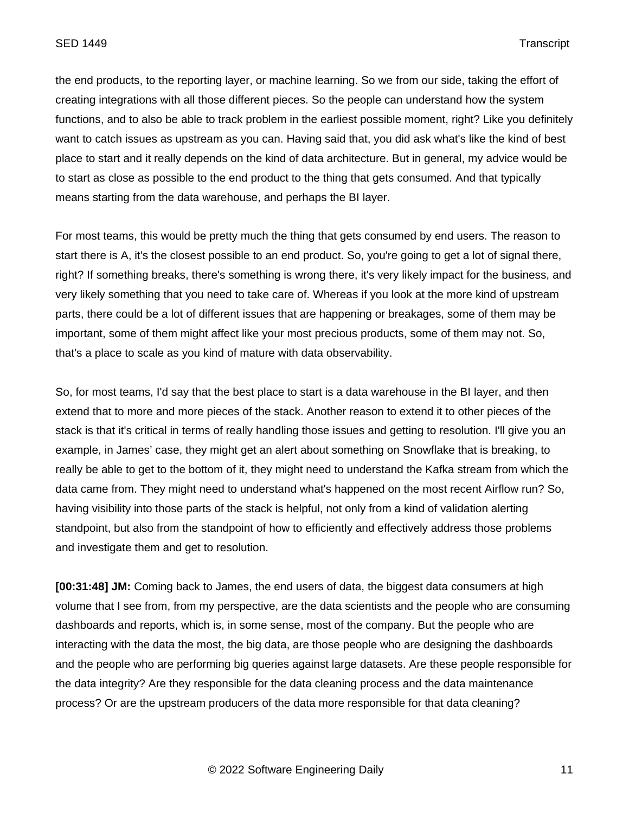the end products, to the reporting layer, or machine learning. So we from our side, taking the effort of creating integrations with all those different pieces. So the people can understand how the system functions, and to also be able to track problem in the earliest possible moment, right? Like you definitely want to catch issues as upstream as you can. Having said that, you did ask what's like the kind of best place to start and it really depends on the kind of data architecture. But in general, my advice would be to start as close as possible to the end product to the thing that gets consumed. And that typically means starting from the data warehouse, and perhaps the BI layer.

For most teams, this would be pretty much the thing that gets consumed by end users. The reason to start there is A, it's the closest possible to an end product. So, you're going to get a lot of signal there, right? If something breaks, there's something is wrong there, it's very likely impact for the business, and very likely something that you need to take care of. Whereas if you look at the more kind of upstream parts, there could be a lot of different issues that are happening or breakages, some of them may be important, some of them might affect like your most precious products, some of them may not. So, that's a place to scale as you kind of mature with data observability.

So, for most teams, I'd say that the best place to start is a data warehouse in the BI layer, and then extend that to more and more pieces of the stack. Another reason to extend it to other pieces of the stack is that it's critical in terms of really handling those issues and getting to resolution. I'll give you an example, in James' case, they might get an alert about something on Snowflake that is breaking, to really be able to get to the bottom of it, they might need to understand the Kafka stream from which the data came from. They might need to understand what's happened on the most recent Airflow run? So, having visibility into those parts of the stack is helpful, not only from a kind of validation alerting standpoint, but also from the standpoint of how to efficiently and effectively address those problems and investigate them and get to resolution.

**[00:31:48] JM:** Coming back to James, the end users of data, the biggest data consumers at high volume that I see from, from my perspective, are the data scientists and the people who are consuming dashboards and reports, which is, in some sense, most of the company. But the people who are interacting with the data the most, the big data, are those people who are designing the dashboards and the people who are performing big queries against large datasets. Are these people responsible for the data integrity? Are they responsible for the data cleaning process and the data maintenance process? Or are the upstream producers of the data more responsible for that data cleaning?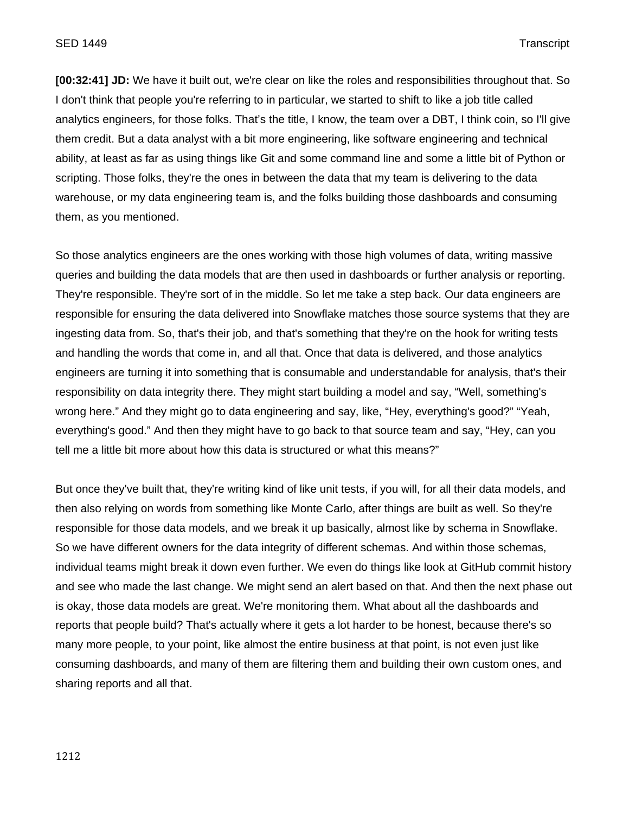**[00:32:41] JD:** We have it built out, we're clear on like the roles and responsibilities throughout that. So I don't think that people you're referring to in particular, we started to shift to like a job title called analytics engineers, for those folks. That's the title, I know, the team over a DBT, I think coin, so I'll give them credit. But a data analyst with a bit more engineering, like software engineering and technical ability, at least as far as using things like Git and some command line and some a little bit of Python or scripting. Those folks, they're the ones in between the data that my team is delivering to the data warehouse, or my data engineering team is, and the folks building those dashboards and consuming them, as you mentioned.

So those analytics engineers are the ones working with those high volumes of data, writing massive queries and building the data models that are then used in dashboards or further analysis or reporting. They're responsible. They're sort of in the middle. So let me take a step back. Our data engineers are responsible for ensuring the data delivered into Snowflake matches those source systems that they are ingesting data from. So, that's their job, and that's something that they're on the hook for writing tests and handling the words that come in, and all that. Once that data is delivered, and those analytics engineers are turning it into something that is consumable and understandable for analysis, that's their responsibility on data integrity there. They might start building a model and say, "Well, something's wrong here." And they might go to data engineering and say, like, "Hey, everything's good?" "Yeah, everything's good." And then they might have to go back to that source team and say, "Hey, can you tell me a little bit more about how this data is structured or what this means?"

But once they've built that, they're writing kind of like unit tests, if you will, for all their data models, and then also relying on words from something like Monte Carlo, after things are built as well. So they're responsible for those data models, and we break it up basically, almost like by schema in Snowflake. So we have different owners for the data integrity of different schemas. And within those schemas, individual teams might break it down even further. We even do things like look at GitHub commit history and see who made the last change. We might send an alert based on that. And then the next phase out is okay, those data models are great. We're monitoring them. What about all the dashboards and reports that people build? That's actually where it gets a lot harder to be honest, because there's so many more people, to your point, like almost the entire business at that point, is not even just like consuming dashboards, and many of them are filtering them and building their own custom ones, and sharing reports and all that.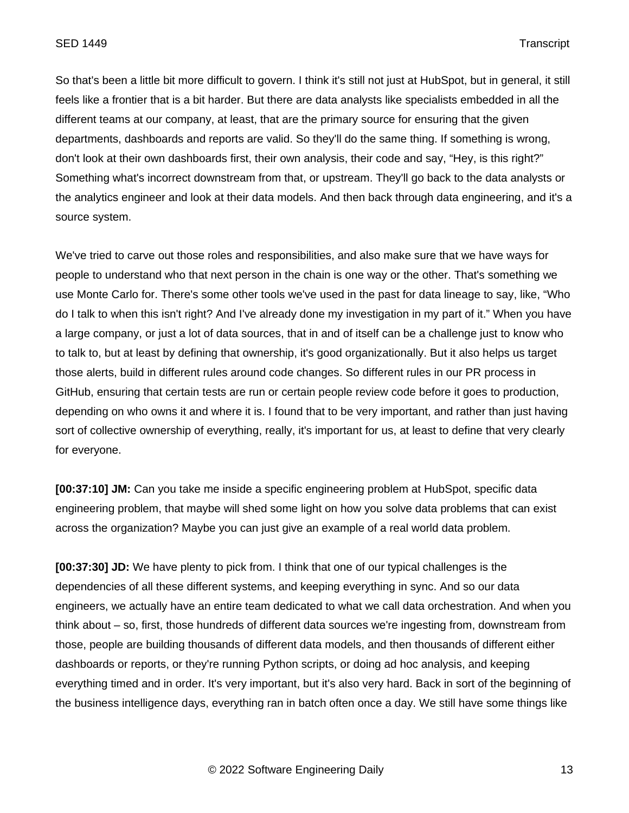So that's been a little bit more difficult to govern. I think it's still not just at HubSpot, but in general, it still feels like a frontier that is a bit harder. But there are data analysts like specialists embedded in all the different teams at our company, at least, that are the primary source for ensuring that the given departments, dashboards and reports are valid. So they'll do the same thing. If something is wrong, don't look at their own dashboards first, their own analysis, their code and say, "Hey, is this right?" Something what's incorrect downstream from that, or upstream. They'll go back to the data analysts or the analytics engineer and look at their data models. And then back through data engineering, and it's a source system.

We've tried to carve out those roles and responsibilities, and also make sure that we have ways for people to understand who that next person in the chain is one way or the other. That's something we use Monte Carlo for. There's some other tools we've used in the past for data lineage to say, like, "Who do I talk to when this isn't right? And I've already done my investigation in my part of it." When you have a large company, or just a lot of data sources, that in and of itself can be a challenge just to know who to talk to, but at least by defining that ownership, it's good organizationally. But it also helps us target those alerts, build in different rules around code changes. So different rules in our PR process in GitHub, ensuring that certain tests are run or certain people review code before it goes to production, depending on who owns it and where it is. I found that to be very important, and rather than just having sort of collective ownership of everything, really, it's important for us, at least to define that very clearly for everyone.

**[00:37:10] JM:** Can you take me inside a specific engineering problem at HubSpot, specific data engineering problem, that maybe will shed some light on how you solve data problems that can exist across the organization? Maybe you can just give an example of a real world data problem.

**[00:37:30] JD:** We have plenty to pick from. I think that one of our typical challenges is the dependencies of all these different systems, and keeping everything in sync. And so our data engineers, we actually have an entire team dedicated to what we call data orchestration. And when you think about – so, first, those hundreds of different data sources we're ingesting from, downstream from those, people are building thousands of different data models, and then thousands of different either dashboards or reports, or they're running Python scripts, or doing ad hoc analysis, and keeping everything timed and in order. It's very important, but it's also very hard. Back in sort of the beginning of the business intelligence days, everything ran in batch often once a day. We still have some things like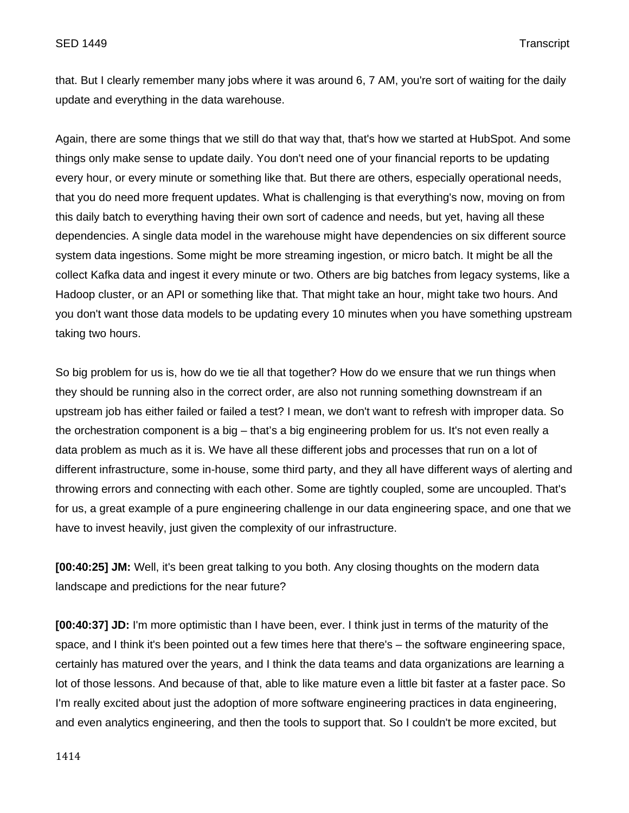that. But I clearly remember many jobs where it was around 6, 7 AM, you're sort of waiting for the daily update and everything in the data warehouse.

Again, there are some things that we still do that way that, that's how we started at HubSpot. And some things only make sense to update daily. You don't need one of your financial reports to be updating every hour, or every minute or something like that. But there are others, especially operational needs, that you do need more frequent updates. What is challenging is that everything's now, moving on from this daily batch to everything having their own sort of cadence and needs, but yet, having all these dependencies. A single data model in the warehouse might have dependencies on six different source system data ingestions. Some might be more streaming ingestion, or micro batch. It might be all the collect Kafka data and ingest it every minute or two. Others are big batches from legacy systems, like a Hadoop cluster, or an API or something like that. That might take an hour, might take two hours. And you don't want those data models to be updating every 10 minutes when you have something upstream taking two hours.

So big problem for us is, how do we tie all that together? How do we ensure that we run things when they should be running also in the correct order, are also not running something downstream if an upstream job has either failed or failed a test? I mean, we don't want to refresh with improper data. So the orchestration component is a big – that's a big engineering problem for us. It's not even really a data problem as much as it is. We have all these different jobs and processes that run on a lot of different infrastructure, some in-house, some third party, and they all have different ways of alerting and throwing errors and connecting with each other. Some are tightly coupled, some are uncoupled. That's for us, a great example of a pure engineering challenge in our data engineering space, and one that we have to invest heavily, just given the complexity of our infrastructure.

**[00:40:25] JM:** Well, it's been great talking to you both. Any closing thoughts on the modern data landscape and predictions for the near future?

**[00:40:37] JD:** I'm more optimistic than I have been, ever. I think just in terms of the maturity of the space, and I think it's been pointed out a few times here that there's – the software engineering space, certainly has matured over the years, and I think the data teams and data organizations are learning a lot of those lessons. And because of that, able to like mature even a little bit faster at a faster pace. So I'm really excited about just the adoption of more software engineering practices in data engineering, and even analytics engineering, and then the tools to support that. So I couldn't be more excited, but